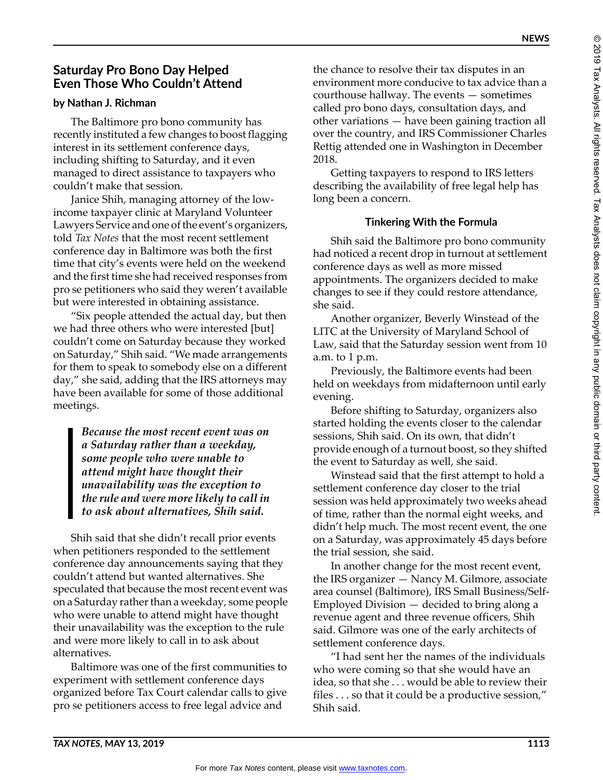# **Saturday Pro Bono Day Helped Even Those Who Couldn't Attend**

### **by Nathan J. Richman**

The Baltimore pro bono community has recently instituted a few changes to boost flagging interest in its settlement conference days, including shifting to Saturday, and it even managed to direct assistance to taxpayers who couldn't make that session.

Janice Shih, managing attorney of the lowincome taxpayer clinic at Maryland Volunteer Lawyers Service and one of the event's organizers, told *Tax Notes* that the most recent settlement conference day in Baltimore was both the first time that city's events were held on the weekend and the first time she had received responses from pro se petitioners who said they weren't available but were interested in obtaining assistance.

"Six people attended the actual day, but then we had three others who were interested [but] couldn't come on Saturday because they worked on Saturday," Shih said. "We made arrangements for them to speak to somebody else on a different day," she said, adding that the IRS attorneys may have been available for some of those additional meetings.

> *Because the most recent event was on a Saturday rather than a weekday, some people who were unable to attend might have thought their unavailability was the exception to the rule and were more likely to call in to ask about alternatives, Shih said.*

Shih said that she didn't recall prior events when petitioners responded to the settlement conference day announcements saying that they couldn't attend but wanted alternatives. She speculated that because the most recent event was on a Saturday rather than a weekday, some people who were unable to attend might have thought their unavailability was the exception to the rule and were more likely to call in to ask about alternatives.

Baltimore was one of the first communities to experiment with settlement conference days organized before Tax Court calendar calls to give pro se petitioners access to free legal advice and

the chance to resolve their tax disputes in an environment more conducive to tax advice than a courthouse hallway. The events — sometimes called pro bono days, consultation days, and other variations — have been gaining traction all over the country, and IRS Commissioner Charles Rettig attended one in Washington in December 2018.

Getting taxpayers to respond to IRS letters describing the availability of free legal help has long been a concern.

## **Tinkering With the Formula**

Shih said the Baltimore pro bono community had noticed a recent drop in turnout at settlement conference days as well as more missed appointments. The organizers decided to make changes to see if they could restore attendance, she said.

Another organizer, Beverly Winstead of the LITC at the University of Maryland School of Law, said that the Saturday session went from 10 a.m. to 1 p.m.

Previously, the Baltimore events had been held on weekdays from midafternoon until early evening.

Before shifting to Saturday, organizers also started holding the events closer to the calendar sessions, Shih said. On its own, that didn't provide enough of a turnout boost, so they shifted the event to Saturday as well, she said.

Winstead said that the first attempt to hold a settlement conference day closer to the trial session was held approximately two weeks ahead of time, rather than the normal eight weeks, and didn't help much. The most recent event, the one on a Saturday, was approximately 45 days before the trial session, she said.

In another change for the most recent event, the IRS organizer — Nancy M. Gilmore, associate area counsel (Baltimore), IRS Small Business/Self-Employed Division — decided to bring along a revenue agent and three revenue officers, Shih said. Gilmore was one of the early architects of settlement conference days.

"I had sent her the names of the individuals who were coming so that she would have an idea, so that she . . . would be able to review their files . . . so that it could be a productive session," Shih said.